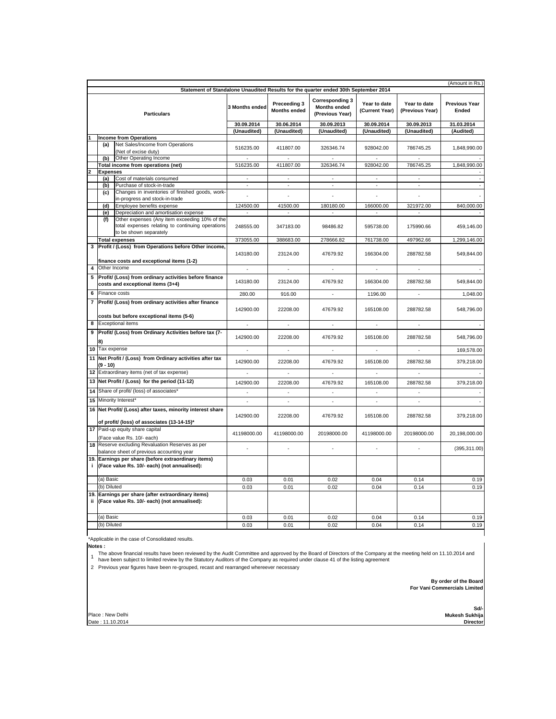| (Amount in Rs.)<br>Statement of Standalone Unaudited Results for the quarter ended 30th September 2014 |                                   |                                                                                                                             |                             |                                     |                                                                  |                                |                                 |                               |
|--------------------------------------------------------------------------------------------------------|-----------------------------------|-----------------------------------------------------------------------------------------------------------------------------|-----------------------------|-------------------------------------|------------------------------------------------------------------|--------------------------------|---------------------------------|-------------------------------|
|                                                                                                        |                                   |                                                                                                                             |                             |                                     |                                                                  |                                |                                 |                               |
| <b>Particulars</b>                                                                                     |                                   |                                                                                                                             | 3 Months ended              | Preceeding 3<br><b>Months ended</b> | <b>Corresponding 3</b><br><b>Months ended</b><br>(Previous Year) | Year to date<br>(Current Year) | Year to date<br>(Previous Year) | <b>Previous Year</b><br>Ended |
|                                                                                                        |                                   |                                                                                                                             | 30.09.2014                  | 30.06.2014                          | 30.09.2013                                                       | 30.09.2014                     | 30.09.2013                      | 31.03.2014                    |
|                                                                                                        |                                   |                                                                                                                             | (Unaudited)                 | (Unaudited)                         | (Unaudited)                                                      | (Unaudited)                    | (Unaudited)                     | (Audited)                     |
|                                                                                                        |                                   | <b>Income from Operations</b>                                                                                               |                             |                                     |                                                                  |                                |                                 |                               |
|                                                                                                        | (a)                               | Net Sales/Income from Operations<br>(Net of excise duty)                                                                    | 516235.00                   | 411807.00                           | 326346.74                                                        | 928042.00                      | 786745.25                       | 1,848,990.00                  |
|                                                                                                        | (b)                               | Other Operating Income                                                                                                      |                             |                                     |                                                                  |                                |                                 |                               |
|                                                                                                        |                                   | Total income from operations (net)                                                                                          | 516235.00                   | 411807.00                           | 326346.74                                                        | 928042.00                      | 786745.25                       | 1,848,990.00                  |
| 2                                                                                                      | <b>Expenses</b>                   |                                                                                                                             |                             |                                     |                                                                  |                                |                                 |                               |
|                                                                                                        | (a)                               | Cost of materials consumed                                                                                                  | ×.                          | ×.                                  | ×.                                                               | ×.                             | $\sim$                          |                               |
|                                                                                                        | (b)                               | Purchase of stock-in-trade                                                                                                  | $\mathcal{L}_{\mathcal{A}}$ | $\omega$                            | $\mathcal{L}_{\mathcal{A}}$                                      | $\omega$                       | $\sim$                          |                               |
|                                                                                                        | (c)                               | Changes in inventories of finished goods, work-                                                                             |                             |                                     |                                                                  |                                |                                 |                               |
|                                                                                                        |                                   | in-progress and stock-in-trade                                                                                              |                             |                                     |                                                                  |                                |                                 |                               |
|                                                                                                        | (d)                               | Employee benefits expense                                                                                                   | 124500.00                   | 41500.00                            | 180180.00                                                        | 166000.00                      | 321972.00                       | 840,000.00                    |
|                                                                                                        | (e)                               | Depreciation and amortisation expense                                                                                       | $\sim$                      | ×.                                  | ×.                                                               | ×                              | ×.                              |                               |
|                                                                                                        | (f)                               | Other expenses (Any item exceeding 10% of the<br>total expenses relating to continuing operations<br>to be shown separately | 248555.00                   | 347183.00                           | 98486.82                                                         | 595738.00                      | 175990.66                       | 459,146.00                    |
|                                                                                                        |                                   | <b>Total expenses</b>                                                                                                       | 373055.00                   | 388683.00                           | 278666.82                                                        | 761738.00                      | 497962.66                       | 1,299,146.00                  |
| 3                                                                                                      |                                   | Profit / (Loss) from Operations before Other income,                                                                        |                             |                                     |                                                                  |                                |                                 |                               |
|                                                                                                        |                                   | finance costs and exceptional items (1-2)                                                                                   | 143180.00                   | 23124.00                            | 47679.92                                                         | 166304.00                      | 288782.58                       | 549,844.00                    |
|                                                                                                        |                                   | Other Income                                                                                                                |                             |                                     |                                                                  |                                |                                 |                               |
| 5                                                                                                      |                                   | Profit/ (Loss) from ordinary activities before finance                                                                      |                             |                                     |                                                                  |                                |                                 |                               |
|                                                                                                        | costs and exceptional items (3+4) |                                                                                                                             | 143180.00                   | 23124.00                            | 47679.92                                                         | 166304.00                      | 288782.58                       | 549.844.00                    |
| 6                                                                                                      |                                   | Finance costs                                                                                                               | 280.00                      | 916.00                              | $\sim$                                                           | 1196.00                        | $\sim$                          | 1.048.00                      |
| 7                                                                                                      |                                   | Profit/ (Loss) from ordinary activities after finance<br>costs but before exceptional items (5-6)                           | 142900.00                   | 22208.00                            | 47679.92                                                         | 165108.00                      | 288782.58                       | 548.796.00                    |
| 8                                                                                                      |                                   | <b>Exceptional items</b>                                                                                                    | $\overline{\phantom{a}}$    | $\blacksquare$                      | $\overline{\phantom{a}}$                                         | $\mathbf{r}$                   | $\epsilon$                      |                               |
| 9                                                                                                      |                                   | Profit/ (Loss) from Ordinary Activities before tax (7-                                                                      |                             |                                     |                                                                  |                                |                                 |                               |
|                                                                                                        |                                   |                                                                                                                             | 142900.00                   | 22208.00                            | 47679.92                                                         | 165108.00                      | 288782.58                       | 548,796.00                    |
|                                                                                                        | 10 Tax expense                    |                                                                                                                             | $\blacksquare$              | $\mathbf{r}$                        | $\blacksquare$                                                   | ÷                              | $\sim$                          | 169,578.00                    |
|                                                                                                        | (9 - 10)                          | 11 Net Profit / (Loss) from Ordinary activities after tax                                                                   | 142900.00                   | 22208.00                            | 47679.92                                                         | 165108.00                      | 288782.58                       | 379,218.00                    |
|                                                                                                        |                                   | 12 Extraordinary items (net of tax expense)                                                                                 |                             |                                     |                                                                  |                                | $\sim$                          |                               |
|                                                                                                        |                                   | 13 Net Profit / (Loss) for the period (11-12)                                                                               | 142900.00                   | 22208.00                            | 47679.92                                                         | 165108.00                      | 288782.58                       | 379,218.00                    |
|                                                                                                        |                                   | 14 Share of profit/ (loss) of associates*                                                                                   | ÷                           | ÷                                   | ÷                                                                | ÷.                             | ÷.                              |                               |
|                                                                                                        |                                   | 15 Minority Interest*                                                                                                       | ÷.                          |                                     | ÷                                                                | ÷.                             | $\sim$                          |                               |
|                                                                                                        |                                   | 16 Net Profit/ (Loss) after taxes, minority interest share                                                                  |                             |                                     |                                                                  |                                |                                 |                               |
|                                                                                                        |                                   | of profit/ (loss) of associates (13-14-15)*                                                                                 | 142900.00                   | 22208.00                            | 47679.92                                                         | 165108.00                      | 288782.58                       | 379,218.00                    |
|                                                                                                        |                                   | 17 Paid-up equity share capital                                                                                             |                             |                                     |                                                                  |                                |                                 |                               |
|                                                                                                        |                                   | (Face value Rs. 10/- each)                                                                                                  | 41198000.00                 | 41198000.00                         | 20198000.00                                                      | 41198000.00                    | 20198000.00                     | 20,198,000.00                 |
|                                                                                                        |                                   | 18 Reserve excluding Revaluation Reserves as per<br>balance sheet of previous accounting year                               | ÷.                          |                                     |                                                                  |                                |                                 | (395, 311.00)                 |
| j.                                                                                                     |                                   | 19. Earnings per share (before extraordinary items)<br>(Face value Rs. 10/- each) (not annualised):                         |                             |                                     |                                                                  |                                |                                 |                               |
|                                                                                                        | (a) Basic                         |                                                                                                                             | 0.03                        | 0.01                                | 0.02                                                             | 0.04                           | 0.14                            | 0.19                          |
|                                                                                                        | (b) Diluted                       |                                                                                                                             | 0.03                        | 0.01                                | 0.02                                                             | 0.04                           | 0.14                            | 0.19                          |
| ii.                                                                                                    |                                   | 19. Earnings per share (after extraordinary items)<br>(Face value Rs. 10/- each) (not annualised):                          |                             |                                     |                                                                  |                                |                                 |                               |
|                                                                                                        | (a) Basic                         |                                                                                                                             | 0.03                        | 0.01                                | 0.02                                                             | 0.04                           | 0.14                            | 0.19                          |
|                                                                                                        | (b) Diluted                       |                                                                                                                             | 0.03                        | 0.01                                | 0.02                                                             | 0.04                           | 0.14                            | 0.19                          |
|                                                                                                        |                                   |                                                                                                                             |                             |                                     |                                                                  |                                |                                 |                               |

\*Applicable in the case of Consolidated results.

**Notes :**

The above financial results have been reviewed by the Audit Committee and approved by the Board of Directors of the Company at the meeting held on 11.10.2014 and<br>1 have been subject to limited review by the Statutory Audit

2 Previous year figures have been re-grouped, recast and rearranged whereever necessary

 **By order of the Board For Vani Commercials Limited**

Place : New Delhi Date : 11.10.2014

**Sd/- Director Mukesh Sukhija**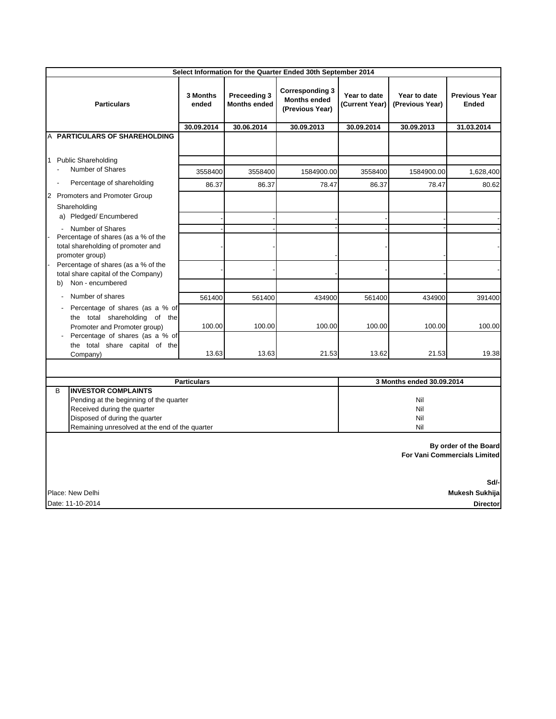| Select Information for the Quarter Ended 30th September 2014                                                                                                                                                        |                   |                                     |                                                                  |                                |                                                                                                                       |                                      |  |
|---------------------------------------------------------------------------------------------------------------------------------------------------------------------------------------------------------------------|-------------------|-------------------------------------|------------------------------------------------------------------|--------------------------------|-----------------------------------------------------------------------------------------------------------------------|--------------------------------------|--|
| <b>Particulars</b>                                                                                                                                                                                                  | 3 Months<br>ended | Preceeding 3<br><b>Months ended</b> | <b>Corresponding 3</b><br><b>Months ended</b><br>(Previous Year) | Year to date<br>(Current Year) | Year to date<br>(Previous Year)                                                                                       | <b>Previous Year</b><br><b>Ended</b> |  |
|                                                                                                                                                                                                                     | 30.09.2014        | 30.06.2014                          | 30.09.2013                                                       | 30.09.2014                     | 30.09.2013                                                                                                            | 31.03.2014                           |  |
| A PARTICULARS OF SHAREHOLDING                                                                                                                                                                                       |                   |                                     |                                                                  |                                |                                                                                                                       |                                      |  |
| <b>Public Shareholding</b><br>1<br>Number of Shares<br>ä,                                                                                                                                                           | 3558400           | 3558400                             | 1584900.00                                                       | 3558400                        | 1584900.00                                                                                                            | 1,628,400                            |  |
| Percentage of shareholding                                                                                                                                                                                          | 86.37             | 86.37                               | 78.47                                                            | 86.37                          | 78.47                                                                                                                 | 80.62                                |  |
| Promoters and Promoter Group<br>2<br>Shareholding<br>a) Pledged/Encumbered                                                                                                                                          |                   |                                     |                                                                  |                                |                                                                                                                       |                                      |  |
| Number of Shares<br>$\overline{\phantom{a}}$<br>Percentage of shares (as a % of the<br>total shareholding of promoter and<br>promoter group)                                                                        |                   |                                     |                                                                  |                                |                                                                                                                       |                                      |  |
| Percentage of shares (as a % of the<br>total share capital of the Company)<br>Non - encumbered<br>b)                                                                                                                |                   |                                     |                                                                  |                                |                                                                                                                       |                                      |  |
| Number of shares                                                                                                                                                                                                    | 561400            | 561400                              | 434900                                                           | 561400                         | 434900                                                                                                                | 391400                               |  |
| Percentage of shares (as a % of<br>the total shareholding of the<br>Promoter and Promoter group)<br>Percentage of shares (as a % of                                                                                 | 100.00            | 100.00                              | 100.00                                                           | 100.00                         | 100.00                                                                                                                | 100.00                               |  |
| the total share capital of the<br>Company)                                                                                                                                                                          | 13.63             | 13.63                               | 21.53                                                            | 13.62                          | 21.53                                                                                                                 | 19.38                                |  |
|                                                                                                                                                                                                                     |                   |                                     |                                                                  |                                |                                                                                                                       |                                      |  |
| <b>Particulars</b><br>B<br><b>INVESTOR COMPLAINTS</b><br>Pending at the beginning of the quarter<br>Received during the quarter<br>Disposed of during the quarter<br>Remaining unresolved at the end of the quarter |                   |                                     |                                                                  |                                | 3 Months ended 30.09.2014<br>Nil<br>Nil<br>Nil<br>Nil<br>By order of the Board<br><b>For Vani Commercials Limited</b> |                                      |  |
| Sd/-<br>Mukesh Sukhija<br>Place: New Delhi                                                                                                                                                                          |                   |                                     |                                                                  |                                |                                                                                                                       |                                      |  |
| Date: 11-10-2014<br><b>Director</b>                                                                                                                                                                                 |                   |                                     |                                                                  |                                |                                                                                                                       |                                      |  |